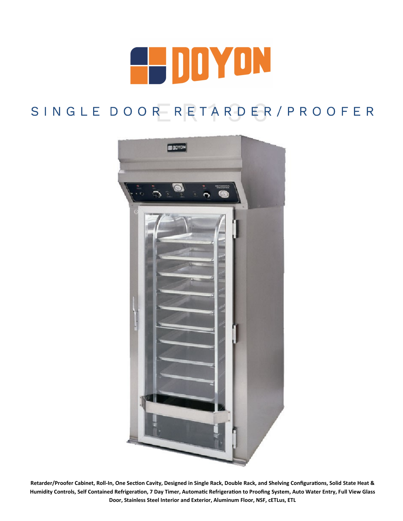

# SINGLE DOOR RETARDER/PROOFER



**Retarder/Proofer Cabinet, Roll-In, One Section Cavity, Designed in Single Rack, Double Rack, and Shelving Configurations, Solid State Heat & Humidity Controls, Self Contained Refrigeration, 7 Day Timer, Automatic Refrigeration to Proofing System, Auto Water Entry, Full View Glass Door, Stainless Steel Interior and Exterior, Aluminum Floor, NSF, cETLus, ETL**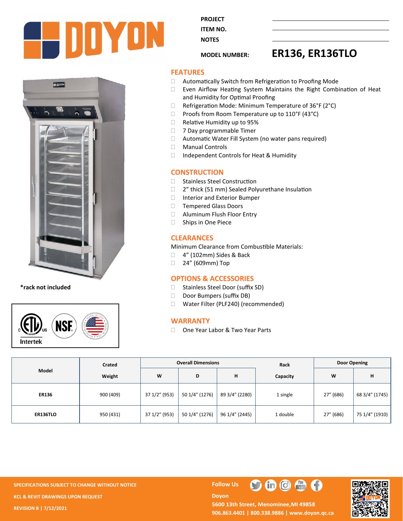

**BOOYON** 

**\*rack not included**



**PROJECT ITEM NO.** 

**NOTES** 

# **MODEL NUMBER: ER136, ER136TLO**

### **FEATURES**

- □ Automatically Switch from Refrigeration to Proofing Mode
- Even Airflow Heating System Maintains the Right Combination of Heat and Humidity for Optimal Proofing
- $\Box$  Refrigeration Mode: Minimum Temperature of 36°F (2°C)
- $\Box$  Proofs from Room Temperature up to 110°F (43°C)
- □ Relative Humidity up to 95%
- **7 Day programmable Timer**
- □ Automatic Water Fill System (no water pans required)
- Manual Controls
- □ Independent Controls for Heat & Humidity

# **CONSTRUCTION**

- □ Stainless Steel Construction
- □ 2" thick (51 mm) Sealed Polyurethane Insulation
- □ Interior and Exterior Bumper
- □ Tempered Glass Doors
- Aluminum Flush Floor Entry
- □ Ships in One Piece

# **CLEARANCES**

Minimum Clearance from Combustible Materials:

- □ 4" (102mm) Sides & Back
- □ 24" (609mm) Top

# **OPTIONS & ACCESSORIES**

- □ Stainless Steel Door (suffix SD)
- Door Bumpers (suffix DB)
- □ Water Filter (PLF240) (recommended)

# **WARRANTY**

□ One Year Labor & Two Year Parts

| Model           | Crated    | <b>Overall Dimensions</b> |                |                | Rack     | Door Opening |                |
|-----------------|-----------|---------------------------|----------------|----------------|----------|--------------|----------------|
|                 | Weight    | W                         | D              | н              | Capacity | W            | н              |
| <b>ER136</b>    | 900 (409) | 37 1/2" (953)             | 50 1/4" (1276) | 89 3/4" (2280) | 1 single | 27" (686)    | 68 3/4" (1745) |
| <b>ER136TLO</b> | 950 (431) | 37 1/2" (953)             | 50 1/4" (1276) | 96 1/4" (2445) | 1 double | 27" (686)    | 75 1/4" (1910) |

**SPECIFICATIONS SUBJECT TO CHANGE WITHOUT NOTICE FOLLOW US KCL & REVIT DRAWINGS UPON REQUEST REVISION B | 7/12/2021**

 $\bigoplus$   $\bigoplus$   $\bigoplus$  $\blacksquare$ 

**Doyon** 



5600 13th Street, Menominee, MI 49858 **906.863.4401 | 800.338.9886 | [www.doyon.qc.ca](http://www.doyon.qc.ca/)**